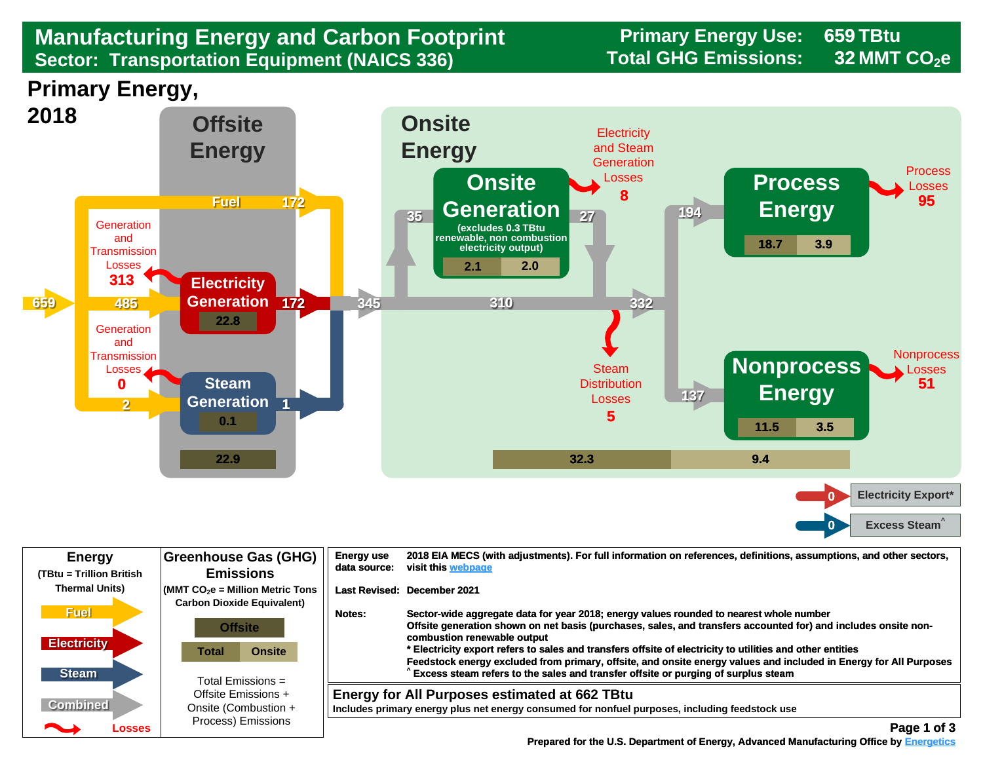## **Manufacturing Energy and Carbon Footprint Frimary Energy Use:**<br>Sector: Transportation Equipment (NAICS 336) Total GHG Emissions: **Sector: Transportation Equipment (NAICS 336)**

**659 32**





| <b>Energy</b><br>(TBtu = Trillion British         | <b>Greenhouse Gas (GHG)</b><br><b>Emissions</b>                                                                                      | <b>Energy use</b><br>data source: | 2018 EIA MECS (with adjustments). For full information on references, definitions, assumptions, and other sectors,<br>visit this webpage                                                                                                                                                                                                                                                                                                                                                                                                                        |
|---------------------------------------------------|--------------------------------------------------------------------------------------------------------------------------------------|-----------------------------------|-----------------------------------------------------------------------------------------------------------------------------------------------------------------------------------------------------------------------------------------------------------------------------------------------------------------------------------------------------------------------------------------------------------------------------------------------------------------------------------------------------------------------------------------------------------------|
| <b>Thermal Units)</b>                             | $\sim$ (MMT CO $_2$ e = Million Metric Tons<br><b>Carbon Dioxide Equivalent)</b>                                                     |                                   | Last Revised: December 2021                                                                                                                                                                                                                                                                                                                                                                                                                                                                                                                                     |
| <b>Fuel</b><br><b>Electricity</b><br><b>Steam</b> | <b>Offsite</b><br><b>Onsite</b><br>Total<br>Total Emissions $=$<br>Offsite Emissions +<br>Onsite (Combustion +<br>Process) Emissions | Notes:                            | Sector-wide aggregate data for year 2018; energy values rounded to nearest whole number<br>Offsite generation shown on net basis (purchases, sales, and transfers accounted for) and includes onsite non-<br>combustion renewable output<br>* Electricity export refers to sales and transfers offsite of electricity to utilities and other entities<br>Feedstock energy excluded from primary, offsite, and onsite energy values and included in Energy for All Purposes<br>Excess steam refers to the sales and transfer offsite or purging of surplus steam |
| <b>Combined</b><br>◚<br>Losses                    |                                                                                                                                      |                                   | <b>Energy for All Purposes estimated at 662 TBtu</b><br>Includes primary energy plus net energy consumed for nonfuel purposes, including feedstock use<br>Page 1 of 3                                                                                                                                                                                                                                                                                                                                                                                           |

 **[Prepared for the U.S. Department of Energy, Advanced Manufacturing Office by Energetics](https://www.energetics.com/) Manufacturing Energetics**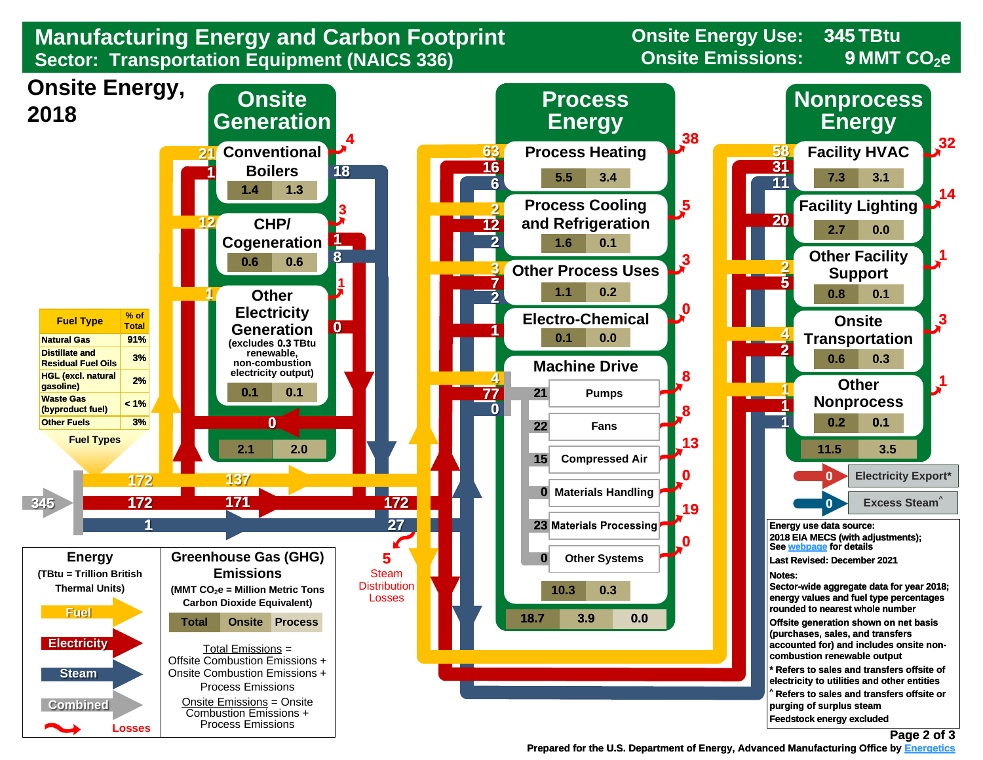